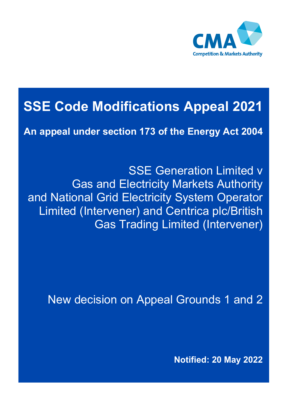

# **SSE Code Modifications Appeal 2021**

**An appeal under section 173 of the Energy Act 2004**

SSE Generation Limited v Gas and Electricity Markets Authority and National Grid Electricity System Operator Limited (Intervener) and Centrica plc/British Gas Trading Limited (Intervener)

New decision on Appeal Grounds 1 and 2

**Notified: 20 May 2022**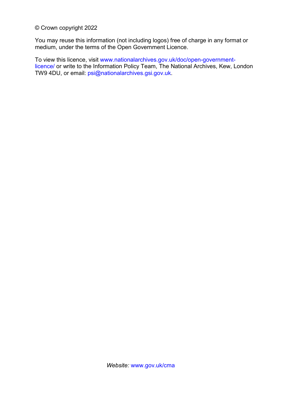© Crown copyright 2022

You may reuse this information (not including logos) free of charge in any format or medium, under the terms of the Open Government Licence.

To view this licence, visit [www.nationalarchives.gov.uk/doc/open-government](http://www.nationalarchives.gov.uk/doc/open-government-licence/)[licence/](http://www.nationalarchives.gov.uk/doc/open-government-licence/) or write to the Information Policy Team, The National Archives, Kew, London TW9 4DU, or email: [psi@nationalarchives.gsi.gov.uk.](mailto:psi@nationalarchives.gsi.gov.uk)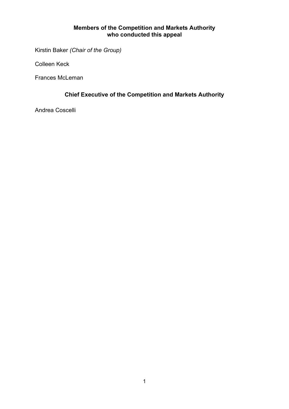#### **Members of the Competition and Markets Authority who conducted this appeal**

Kirstin Baker *(Chair of the Group)* 

Colleen Keck

Frances McLeman

#### **Chief Executive of the Competition and Markets Authority**

Andrea Coscelli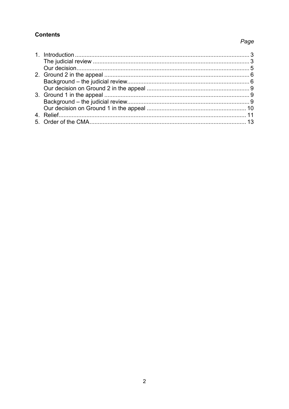#### **Contents**

## Page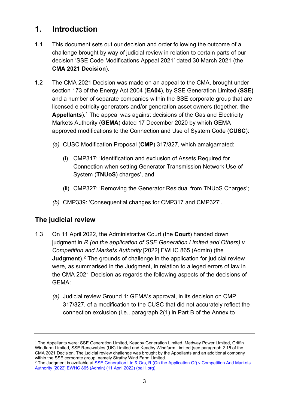# <span id="page-4-0"></span>**1. Introduction**

- 1.1 This document sets out our decision and order following the outcome of a challenge brought by way of judicial review in relation to certain parts of our decision 'SSE Code Modifications Appeal 2021' dated 30 March 2021 (the **CMA 2021 Decision**).
- 1.2 The CMA 2021 Decision was made on an appeal to the CMA, brought under section 173 of the Energy Act 2004 (**EA04**), by SSE Generation Limited (**SSE)** and a number of separate companies within the SSE corporate group that are licensed electricity generators and/or generation asset owners (together, **the Appellants**).[1](#page-4-2) The appeal was against decisions of the Gas and Electricity Markets Authority (**GEMA**) dated 17 December 2020 by which GEMA approved modifications to the Connection and Use of System Code (**CUSC**):
	- *(a)* CUSC Modification Proposal (**CMP**) 317/327, which amalgamated:
		- (i) CMP317: 'Identification and exclusion of Assets Required for Connection when setting Generator Transmission Network Use of System (**TNUoS**) charges', and
		- (ii) CMP327: 'Removing the Generator Residual from TNUoS Charges';
	- *(b)* CMP339: 'Consequential changes for CMP317 and CMP327'.

## <span id="page-4-1"></span>**The judicial review**

- <span id="page-4-4"></span>1.3 On 11 April 2022, the Administrative Court (the **Court**) handed down judgment in *R (on the application of SSE Generation Limited and Others) v Competition and Markets Authority* [2022] EWHC 865 (Admin) (the **Judament**).<sup>[2](#page-4-3)</sup> The grounds of challenge in the application for judicial review were, as summarised in the Judgment, in relation to alleged errors of law in the CMA 2021 Decision as regards the following aspects of the decisions of GEMA:
	- *(a)* Judicial review Ground 1: GEMA's approval, in its decision on CMP 317/327, of a modification to the CUSC that did not accurately reflect the connection exclusion (i.e., paragraph 2(1) in Part B of the Annex to

<span id="page-4-2"></span><sup>1</sup> The Appellants were: SSE Generation Limited, Keadby Generation Limited, Medway Power Limited, Griffin Windfarm Limited, SSE Renewables (UK) Limited and Keadby Windfarm Limited (see paragraph 2.15 of the CMA 2021 Decision. The judicial review challenge was brought by the Appellants and an additional company within the SSE corporate group, namely Strathy Wind Farm Limited.

<span id="page-4-3"></span><sup>&</sup>lt;sup>2</sup> The Judgment is available at SSE Generation Ltd & Ors, R (On the Application Of) v Competition And Markets [Authority \[2022\] EWHC 865 \(Admin\) \(11 April 2022\)](https://www.bailii.org/ew/cases/EWHC/Admin/2022/865.html) (bailii.org)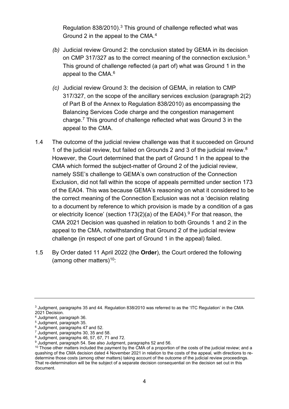Regulation 838/2010).[3](#page-5-0) This ground of challenge reflected what was Ground 2 in the appeal to the CMA.[4](#page-5-1)

- *(b)* Judicial review Ground 2: the conclusion stated by GEMA in its decision on CMP 317/327 as to the correct meaning of the connection exclusion.<sup>[5](#page-5-2)</sup> This ground of challenge reflected (a part of) what was Ground 1 in the appeal to the CMA.[6](#page-5-3)
- *(c)* Judicial review Ground 3: the decision of GEMA, in relation to CMP 317/327, on the scope of the ancillary services exclusion (paragraph 2(2) of Part B of the Annex to Regulation 838/2010) as encompassing the Balancing Services Code charge and the congestion management charge. [7](#page-5-4) This ground of challenge reflected what was Ground 3 in the appeal to the CMA.
- <span id="page-5-9"></span>1.4 The outcome of the judicial review challenge was that it succeeded on Ground 1 of the judicial review, but failed on Grounds 2 and 3 of the judicial review.[8](#page-5-5) However, the Court determined that the part of Ground 1 in the appeal to the CMA which formed the subject-matter of Ground 2 of the judicial review, namely SSE's challenge to GEMA's own construction of the Connection Exclusion, did not fall within the scope of appeals permitted under section 173 of the EA04. This was because GEMA's reasoning on what it considered to be the correct meaning of the Connection Exclusion was not a 'decision relating to a document by reference to which provision is made by a condition of a gas or electricity licence' (section  $173(2)(a)$  of the EA04).<sup>[9](#page-5-6)</sup> For that reason, the CMA 2021 Decision was quashed in relation to both Grounds 1 and 2 in the appeal to the CMA, notwithstanding that Ground 2 of the judicial review challenge (in respect of one part of Ground 1 in the appeal) failed.
- <span id="page-5-8"></span>1.5 By Order dated 11 April 2022 (the **Order**), the Court ordered the following (among other matters) $10$ :

<span id="page-5-0"></span><sup>3</sup> Judgment, paragraphs 35 and 44. Regulation 838/2010 was referred to as the 'ITC Regulation' in the CMA 2021 Decision.

<span id="page-5-1"></span><sup>4</sup> Judgment, paragraph 36.

<span id="page-5-2"></span> $<sup>5</sup>$  Judgment, paragraph 35.<br> $<sup>6</sup>$  Judgment, paragraphs 47 and 52.</sup></sup>

<span id="page-5-5"></span><span id="page-5-4"></span><span id="page-5-3"></span><sup>&</sup>lt;sup>7</sup> Judgment, paragraphs 30, 35 and 58.<br><sup>8</sup> Judgment, paragraphs 46, 57, 67, 71 and 72.<br><sup>9</sup> Judgment, paragraph 54. See also Judgment, paragraphs 52 and 56.

<span id="page-5-7"></span><span id="page-5-6"></span><sup>&</sup>lt;sup>10</sup> Those other matters included the payment by the CMA of a proportion of the costs of the judicial review; and a quashing of the CMA decision dated 4 November 2021 in relation to the costs of the appeal, with directions to redetermine those costs (among other matters) taking account of the outcome of the judicial review proceedings. That re-determination will be the subject of a separate decision consequential on the decision set out in this document.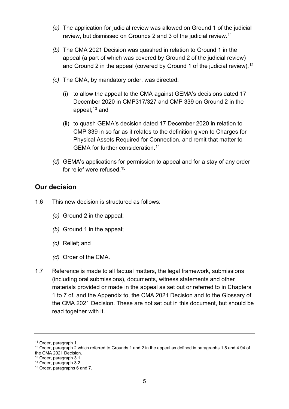- *(a)* The application for judicial review was allowed on Ground 1 of the judicial review, but dismissed on Grounds 2 and 3 of the judicial review.<sup>11</sup>
- *(b)* The CMA 2021 Decision was quashed in relation to Ground 1 in the appeal (a part of which was covered by Ground 2 of the judicial review) and Ground 2 in the appeal (covered by Ground 1 of the judicial review).<sup>[12](#page-6-2)</sup>
- *(c)* The CMA, by mandatory order, was directed:
	- (i) to allow the appeal to the CMA against GEMA's decisions dated 17 December 2020 in CMP317/327 and CMP 339 on Ground 2 in the appeal; [13](#page-6-3) and
	- (ii) to quash GEMA's decision dated 17 December 2020 in relation to CMP 339 in so far as it relates to the definition given to Charges for Physical Assets Required for Connection, and remit that matter to GEMA for further consideration[.14](#page-6-4)
- *(d)* GEMA's applications for permission to appeal and for a stay of any order for relief were refused[.15](#page-6-5)

#### <span id="page-6-0"></span>**Our decision**

1.6 This new decision is structured as follows:

- *(a)* Ground 2 in the appeal;
- *(b)* Ground 1 in the appeal;
- *(c)* Relief; and
- *(d)* Order of the CMA.
- 1.7 Reference is made to all factual matters, the legal framework, submissions (including oral submissions), documents, witness statements and other materials provided or made in the appeal as set out or referred to in Chapters 1 to 7 of, and the Appendix to, the CMA 2021 Decision and to the Glossary of the CMA 2021 Decision. These are not set out in this document, but should be read together with it.

<span id="page-6-1"></span><sup>11</sup> Order, paragraph 1.

<span id="page-6-2"></span> $12$  Order, paragraph 2 which referred to Grounds 1 and 2 in the appeal as defined in paragraphs 1.5 and 4.94 of the CMA 2021 Decision.

<span id="page-6-3"></span> $13$  Order, paragraph 3.1.

<span id="page-6-4"></span><sup>14</sup> Order, paragraph 3.2.

<span id="page-6-5"></span><sup>15</sup> Order, paragraphs 6 and 7.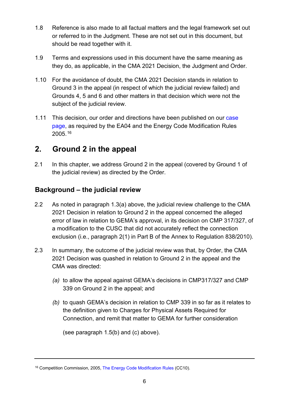- 1.8 Reference is also made to all factual matters and the legal framework set out or referred to in the Judgment. These are not set out in this document, but should be read together with it.
- 1.9 Terms and expressions used in this document have the same meaning as they do, as applicable, in the CMA 2021 Decision, the Judgment and Order.
- 1.10 For the avoidance of doubt, the CMA 2021 Decision stands in relation to Ground 3 in the appeal (in respect of which the judicial review failed) and Grounds 4, 5 and 6 and other matters in that decision which were not the subject of the judicial review.
- 1.11 This decision, our order and directions have been published on our case [page,](https://www.gov.uk/cma-cases/sse-code-modifications-appeal) as required by the EA04 and the Energy Code Modification Rules 2005.[16](#page-7-2)

## <span id="page-7-0"></span>**2. Ground 2 in the appeal**

2.1 In this chapter, we address Ground 2 in the appeal (covered by Ground 1 of the judicial review) as directed by the Order.

## <span id="page-7-1"></span>**Background – the judicial review**

- 2.2 As noted in paragraph [1.3\(](#page-4-4)a) above, the judicial review challenge to the CMA 2021 Decision in relation to Ground 2 in the appeal concerned the alleged error of law in relation to GEMA's approval, in its decision on CMP 317/327, of a modification to the CUSC that did not accurately reflect the connection exclusion (i.e., paragraph 2(1) in Part B of the Annex to Regulation 838/2010).
- 2.3 In summary, the outcome of the judicial review was that, by Order, the CMA 2021 Decision was quashed in relation to Ground 2 in the appeal and the CMA was directed:
	- *(a)* to allow the appeal against GEMA's decisions in CMP317/327 and CMP 339 on Ground 2 in the appeal; and
	- *(b)* to quash GEMA's decision in relation to CMP 339 in so far as it relates to the definition given to Charges for Physical Assets Required for Connection, and remit that matter to GEMA for further consideration

(see paragraph [1.5\(](#page-5-8)b) and (c) above).

<span id="page-7-2"></span><sup>&</sup>lt;sup>16</sup> Competition Commission, 2005, [The Energy Code Modification Rules](https://assets.publishing.service.gov.uk/government/uploads/system/uploads/attachment_data/file/284416/cc10.pdf) (CC10).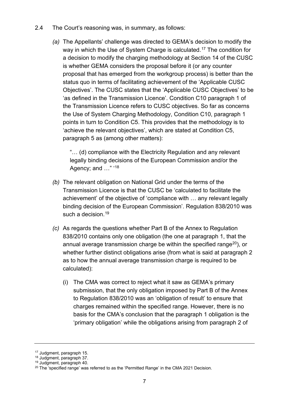- 2.4 The Court's reasoning was, in summary, as follows:
	- *(a)* The Appellants' challenge was directed to GEMA's decision to modify the way in which the Use of System Charge is calculated.<sup>[17](#page-8-0)</sup> The condition for a decision to modify the charging methodology at Section 14 of the CUSC is whether GEMA considers the proposal before it (or any counter proposal that has emerged from the workgroup process) is better than the status quo in terms of facilitating achievement of the 'Applicable CUSC Objectives'. The CUSC states that the 'Applicable CUSC Objectives' to be 'as defined in the Transmission Licence'. Condition C10 paragraph 1 of the Transmission Licence refers to CUSC objectives. So far as concerns the Use of System Charging Methodology, Condition C10, paragraph 1 points in turn to Condition C5. This provides that the methodology is to 'achieve the relevant objectives', which are stated at Condition C5, paragraph 5 as (among other matters):

"… (d) compliance with the Electricity Regulation and any relevant legally binding decisions of the European Commission and/or the Agency; and ..." '[18](#page-8-1)

- *(b)* The relevant obligation on National Grid under the terms of the Transmission Licence is that the CUSC be 'calculated to facilitate the achievement' of the objective of 'compliance with … any relevant legally binding decision of the European Commission'. Regulation 838/2010 was such a decision.<sup>[19](#page-8-2)</sup>
- *(c)* As regards the questions whether Part B of the Annex to Regulation 838/2010 contains only one obligation (the one at paragraph 1, that the annual average transmission charge be within the specified range $^{20}$ ), or whether further distinct obligations arise (from what is said at paragraph 2 as to how the annual average transmission charge is required to be calculated):
	- (i) The CMA was correct to reject what it saw as GEMA's primary submission, that the only obligation imposed by Part B of the Annex to Regulation 838/2010 was an 'obligation of result' to ensure that charges remained within the specified range. However, there is no basis for the CMA's conclusion that the paragraph 1 obligation is the 'primary obligation' while the obligations arising from paragraph 2 of

<span id="page-8-0"></span><sup>17</sup> Judgment, paragraph 15.

<span id="page-8-1"></span><sup>18</sup> Judgment, paragraph 37.

<sup>19</sup> Judgment, paragraph 40.

<span id="page-8-3"></span><span id="page-8-2"></span><sup>&</sup>lt;sup>20</sup> The 'specified range' was referred to as the 'Permitted Range' in the CMA 2021 Decision.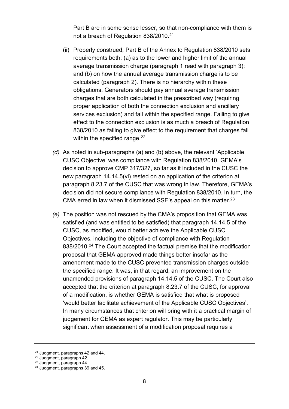Part B are in some sense lesser, so that non-compliance with them is not a breach of Regulation 838/2010. [21](#page-9-0)

- (ii) Properly construed, Part B of the Annex to Regulation 838/2010 sets requirements both: (a) as to the lower and higher limit of the annual average transmission charge (paragraph 1 read with paragraph 3); and (b) on how the annual average transmission charge is to be calculated (paragraph 2). There is no hierarchy within these obligations. Generators should pay annual average transmission charges that are both calculated in the prescribed way (requiring proper application of both the connection exclusion and ancillary services exclusion) and fall within the specified range. Failing to give effect to the connection exclusion is as much a breach of Regulation 838/2010 as failing to give effect to the requirement that charges fall within the specified range.<sup>22</sup>
- *(d)* As noted in sub-paragraphs (a) and (b) above, the relevant 'Applicable CUSC Objective' was compliance with Regulation 838/2010. GEMA's decision to approve CMP 317/327, so far as it included in the CUSC the new paragraph 14.14.5(vi) rested on an application of the criterion at paragraph 8.23.7 of the CUSC that was wrong in law. Therefore, GEMA's decision did not secure compliance with Regulation 838/2010. In turn, the CMA erred in law when it dismissed SSE's appeal on this matter.<sup>[23](#page-9-2)</sup>
- *(e)* The position was not rescued by the CMA's proposition that GEMA was satisfied (and was entitled to be satisfied) that paragraph 14.14.5 of the CUSC, as modified, would better achieve the Applicable CUSC Objectives, including the objective of compliance with Regulation 838/2010.<sup>24</sup> The Court accepted the factual premise that the modification proposal that GEMA approved made things better insofar as the amendment made to the CUSC prevented transmission charges outside the specified range. It was, in that regard, an improvement on the unamended provisions of paragraph 14.14.5 of the CUSC. The Court also accepted that the criterion at paragraph 8.23.7 of the CUSC, for approval of a modification, is whether GEMA is satisfied that what is proposed 'would better facilitate achievement of the Applicable CUSC Objectives'. In many circumstances that criterion will bring with it a practical margin of judgement for GEMA as expert regulator. This may be particularly significant when assessment of a modification proposal requires a

<span id="page-9-0"></span><sup>&</sup>lt;sup>21</sup> Judgment, paragraphs 42 and 44.<br><sup>22</sup> Judgment, paragraph 42.

<span id="page-9-1"></span>

<span id="page-9-2"></span><sup>23</sup> Judgment, paragraph 44.

<span id="page-9-3"></span><sup>24</sup> Judgment, paragraphs 39 and 45.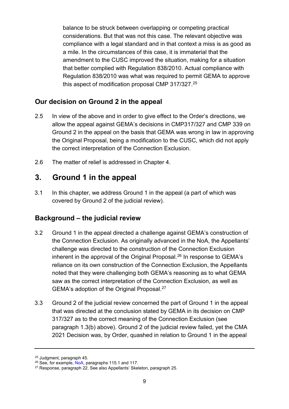balance to be struck between overlapping or competing practical considerations. But that was not this case. The relevant objective was compliance with a legal standard and in that context a miss is as good as a mile. In the circumstances of this case, it is immaterial that the amendment to the CUSC improved the situation, making for a situation that better complied with Regulation 838/2010. Actual compliance with Regulation 838/2010 was what was required to permit GEMA to approve this aspect of modification proposal CMP 317/327.<sup>[25](#page-10-3)</sup>

#### <span id="page-10-0"></span>**Our decision on Ground 2 in the appeal**

- 2.5 In view of the above and in order to give effect to the Order's directions, we allow the appeal against GEMA's decisions in CMP317/327 and CMP 339 on Ground 2 in the appeal on the basis that GEMA was wrong in law in approving the Original Proposal, being a modification to the CUSC, which did not apply the correct interpretation of the Connection Exclusion.
- 2.6 The matter of relief is addressed in Chapter 4.

# <span id="page-10-1"></span>**3. Ground 1 in the appeal**

3.1 In this chapter, we address Ground 1 in the appeal (a part of which was covered by Ground 2 of the judicial review).

## <span id="page-10-2"></span>**Background – the judicial review**

- 3.2 Ground 1 in the appeal directed a challenge against GEMA's construction of the Connection Exclusion. As originally advanced in the NoA, the Appellants' challenge was directed to the construction of the Connection Exclusion inherent in the approval of the Original Proposal.<sup>[26](#page-10-4)</sup> In response to GEMA's reliance on its own construction of the Connection Exclusion, the Appellants noted that they were challenging both GEMA's reasoning as to what GEMA saw as the correct interpretation of the Connection Exclusion, as well as GEMA's adoption of the Original Proposal.[27](#page-10-5)
- <span id="page-10-6"></span>3.3 Ground 2 of the judicial review concerned the part of Ground 1 in the appeal that was directed at the conclusion stated by GEMA in its decision on CMP 317/327 as to the correct meaning of the Connection Exclusion (see paragraph [1.3\(](#page-4-4)b) above). Ground 2 of the judicial review failed, yet the CMA 2021 Decision was, by Order, quashed in relation to Ground 1 in the appeal

<span id="page-10-3"></span> $25$  Judgment, paragraph 45.<br> $26$  See, for example, NoA, paragraphs 115.1 and 117.

<span id="page-10-5"></span><span id="page-10-4"></span><sup>&</sup>lt;sup>27</sup> Response, paragraph 22. See also Appellants' Skeleton, paragraph 25.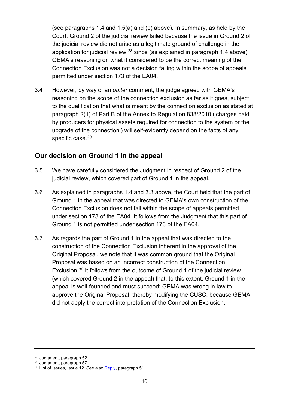(see paragraphs [1.4](#page-5-9) and [1.5\(](#page-5-8)a) and (b) above). In summary, as held by the Court, Ground 2 of the judicial review failed because the issue in Ground 2 of the judicial review did not arise as a legitimate ground of challenge in the application for judicial review, $^\mathrm{28}$  since (as explained in paragraph [1.4](#page-5-9) above) GEMA's reasoning on what it considered to be the correct meaning of the Connection Exclusion was not a decision falling within the scope of appeals permitted under section 173 of the EA04.

<span id="page-11-4"></span>3.4 However, by way of an *obiter* comment, the judge agreed with GEMA's reasoning on the scope of the connection exclusion as far as it goes, subject to the qualification that what is meant by the connection exclusion as stated at paragraph 2(1) of Part B of the Annex to Regulation 838/2010 ('charges paid by producers for physical assets required for connection to the system or the upgrade of the connection') will self-evidently depend on the facts of any specific case.<sup>29</sup>

#### <span id="page-11-0"></span>**Our decision on Ground 1 in the appeal**

- 3.5 We have carefully considered the Judgment in respect of Ground 2 of the judicial review, which covered part of Ground 1 in the appeal.
- 3.6 As explained in paragraphs [1.4](#page-5-9) and [3.3](#page-10-6) above, the Court held that the part of Ground 1 in the appeal that was directed to GEMA's own construction of the Connection Exclusion does not fall within the scope of appeals permitted under section 173 of the EA04. It follows from the Judgment that this part of Ground 1 is not permitted under section 173 of the EA04.
- 3.7 As regards the part of Ground 1 in the appeal that was directed to the construction of the Connection Exclusion inherent in the approval of the Original Proposal, we note that it was common ground that the Original Proposal was based on an incorrect construction of the Connection Exclusion.[30](#page-11-3) It follows from the outcome of Ground 1 of the judicial review (which covered Ground 2 in the appeal) that, to this extent, Ground 1 in the appeal is well-founded and must succeed: GEMA was wrong in law to approve the Original Proposal, thereby modifying the CUSC, because GEMA did not apply the correct interpretation of the Connection Exclusion.

<span id="page-11-1"></span><sup>28</sup> Judgment, paragraph 52.

<span id="page-11-2"></span><sup>29</sup> Judgment, paragraph 57.

<span id="page-11-3"></span><sup>&</sup>lt;sup>30</sup> List of Issues, Issue 12. See also [Reply,](https://assets.publishing.service.gov.uk/media/601a828ed3bf7f70bd763915/GEMA_-_Statement_of_Reply_.pdf) paragraph 51.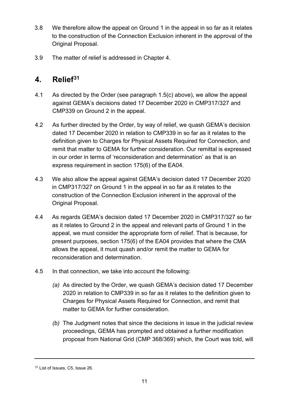- 3.8 We therefore allow the appeal on Ground 1 in the appeal in so far as it relates to the construction of the Connection Exclusion inherent in the approval of the Original Proposal.
- 3.9 The matter of relief is addressed in Chapter 4.

# <span id="page-12-0"></span>**4. Relief[31](#page-12-1)**

- 4.1 As directed by the Order (see paragraph [1.5\(](#page-5-8)c) above), we allow the appeal against GEMA's decisions dated 17 December 2020 in CMP317/327 and CMP339 on Ground 2 in the appeal.
- 4.2 As further directed by the Order, by way of relief, we quash GEMA's decision dated 17 December 2020 in relation to CMP339 in so far as it relates to the definition given to Charges for Physical Assets Required for Connection, and remit that matter to GEMA for further consideration. Our remittal is expressed in our order in terms of 'reconsideration and determination' as that is an express requirement in section 175(6) of the EA04.
- 4.3 We also allow the appeal against GEMA's decision dated 17 December 2020 in CMP317/327 on Ground 1 in the appeal in so far as it relates to the construction of the Connection Exclusion inherent in the approval of the Original Proposal.
- 4.4 As regards GEMA's decision dated 17 December 2020 in CMP317/327 so far as it relates to Ground 2 in the appeal and relevant parts of Ground 1 in the appeal, we must consider the appropriate form of relief. That is because, for present purposes, section 175(6) of the EA04 provides that where the CMA allows the appeal, it must quash and/or remit the matter to GEMA for reconsideration and determination.
- 4.5 In that connection, we take into account the following:
	- *(a)* As directed by the Order, we quash GEMA's decision dated 17 December 2020 in relation to CMP339 in so far as it relates to the definition given to Charges for Physical Assets Required for Connection, and remit that matter to GEMA for further consideration.
	- *(b)* The Judgment notes that since the decisions in issue in the judicial review proceedings, GEMA has prompted and obtained a further modification proposal from National Grid (CMP 368/369) which, the Court was told, will

<span id="page-12-1"></span><sup>31</sup> List of Issues, C5, Issue 26.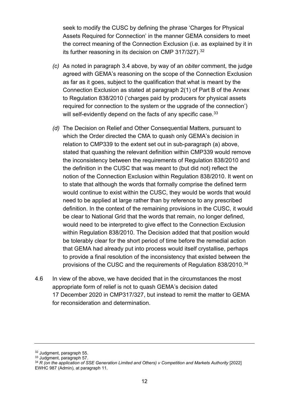seek to modify the CUSC by defining the phrase 'Charges for Physical Assets Required for Connection' in the manner GEMA considers to meet the correct meaning of the Connection Exclusion (i.e. as explained by it in its further reasoning in its decision on CMP 317/[32](#page-13-0)7).<sup>32</sup>

- *(c)* As noted in paragraph [3.4](#page-11-4) above, by way of an *obiter* comment, the judge agreed with GEMA's reasoning on the scope of the Connection Exclusion as far as it goes, subject to the qualification that what is meant by the Connection Exclusion as stated at paragraph 2(1) of Part B of the Annex to Regulation 838/2010 ('charges paid by producers for physical assets required for connection to the system or the upgrade of the connection') will self-evidently depend on the facts of any specific case.<sup>[33](#page-13-1)</sup>
- *(d)* The Decision on Relief and Other Consequential Matters, pursuant to which the Order directed the CMA to quash only GEMA's decision in relation to CMP339 to the extent set out in sub-paragraph (a) above, stated that quashing the relevant definition within CMP339 would remove the inconsistency between the requirements of Regulation 838/2010 and the definition in the CUSC that was meant to (but did not) reflect the notion of the Connection Exclusion within Regulation 838/2010. It went on to state that although the words that formally comprise the defined term would continue to exist within the CUSC, they would be words that would need to be applied at large rather than by reference to any prescribed definition. In the context of the remaining provisions in the CUSC, it would be clear to National Grid that the words that remain, no longer defined, would need to be interpreted to give effect to the Connection Exclusion within Regulation 838/2010. The Decision added that that position would be tolerably clear for the short period of time before the remedial action that GEMA had already put into process would itself crystallise, perhaps to provide a final resolution of the inconsistency that existed between the provisions of the CUSC and the requirements of Regulation 838/2010.<sup>[34](#page-13-2)</sup>
- 4.6 In view of the above, we have decided that in the circumstances the most appropriate form of relief is not to quash GEMA's decision dated 17 December 2020 in CMP317/327, but instead to remit the matter to GEMA for reconsideration and determination.

<span id="page-13-0"></span><sup>32</sup> Judgment, paragraph 55.

<span id="page-13-1"></span><sup>33</sup> Judgment, paragraph 57.

<span id="page-13-2"></span><sup>&</sup>lt;sup>34</sup> R (on the application of SSE Generation Limited and Others) v Competition and Markets Authority [2022] EWHC 987 (Admin), at paragraph 11.